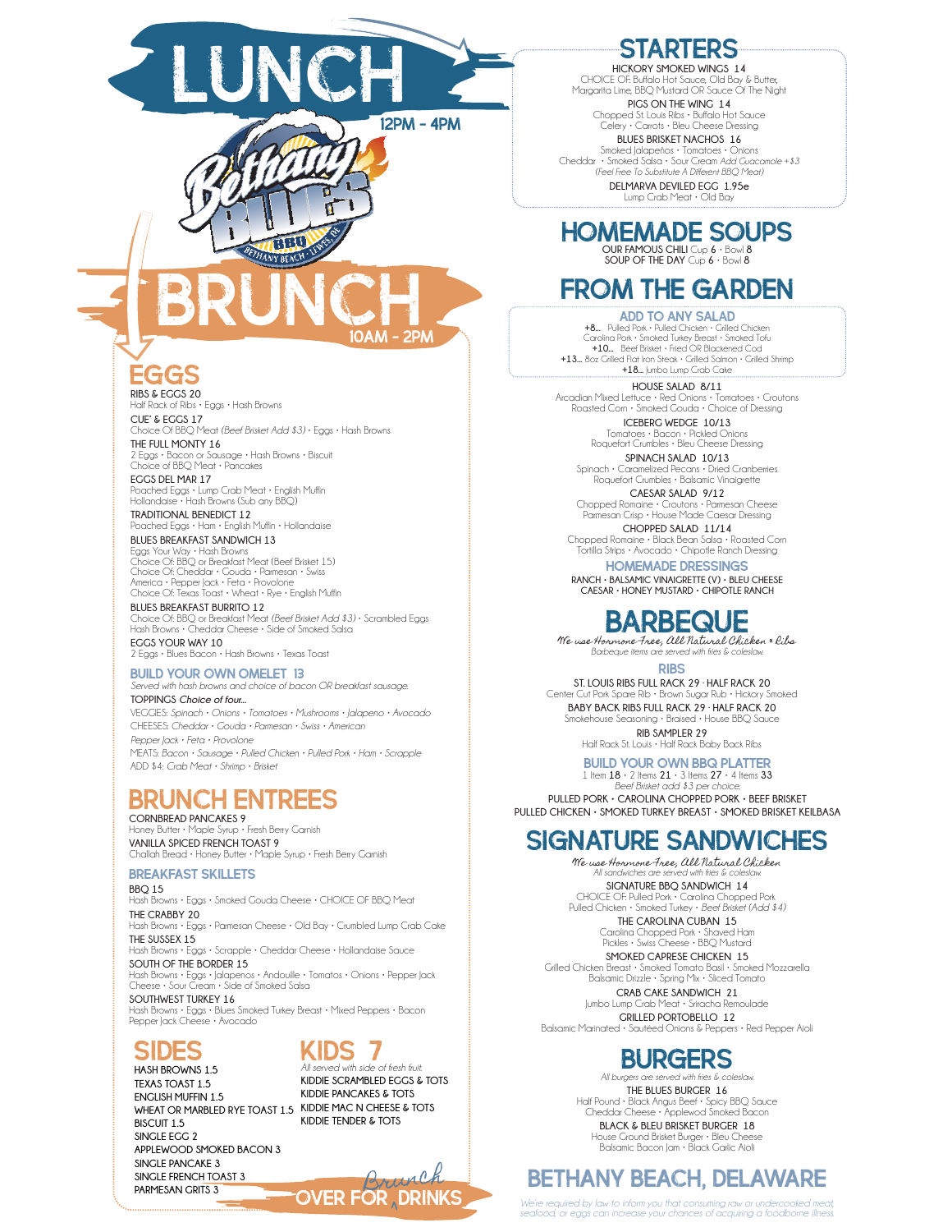

٢

**EGGS RIBS & EGGS 20**

Half Rack of Ribs • Eggs • Hash Browns **CUE' & EGGS 17**

Choice Of BBQ Meat *(Beef Brisket Add \$3)* • Eggs • Hash Browns **THE FULL MONTY 16**

BRUNCH

**BBQ** 

 $10AM - 2P$ 

2 Eggs • Bacon or Sausage • Hash Browns • Biscuit Choice of BBQ Meat • Pancakes

**EGGS DEL MAR 17** Poached Eggs • Lump Crab Meat • English Muffin Hollandaise • Hash Browns (Sub any BBQ)

**TRADITIONAL BENEDICT 12** Poached Eggs • Ham • English Muffin • Hollandaise **BLUES BREAKFAST SANDWICH 13**

Eggs Your Way • Hash Browns Choice Of: BBQ or Breakfast Meat (Beef Brisket 15) Choice Of: Cheddar • Gouda • Parmesan • Swiss America • Pepper Jack • Feta • Provolone Choice Of: Texas Toast • Wheat • Rye • English Muffin

**BLUES BREAKFAST BURRITO 12** Choice Of: BBQ or Breakfast Meat *(Beef Brisket Add \$3)* • Scrambled Eggs Hash Browns • Cheddar Cheese • Side of Smoked Salsa **EGGS YOUR WAY 10** 2 Eggs • Blues Bacon • Hash Browns • Texas Toast

BUILD YOUR OWN OMELET 13 *Served with hash browns and choice of bacon OR breakfast sausage.* **TOPPINGS** *Choice of four...* VEGGIES: *Spinach • Onions • Tomatoes • Mushrooms • Jalapeno • Avocado*

CHEESES: *Cheddar • Gouda • Parmesan • Swiss • American Pepper Jack • Feta • Provolone* MEATS: *Bacon • Sausage • Pulled Chicken • Pulled Pork • Ham • Scrapple* ADD \$4: *Crab Meat • Shrimp • Brisket*

## Brunch entrees

**CORNBREAD PANCAKES 9** Honey Butter • Maple Syrup • Fresh Berry Garnish **VANILLA SPICED FRENCH TOAST 9** Challah Bread • Honey Butter • Maple Syrup • Fresh Berry Garnish

### Breakfast skillets

**BBQ 15**

Hash Browns • Eggs • Smoked Gouda Cheese • CHOICE OF BBQ Meat **THE CRABBY 20** Hash Browns • Eggs • Parmesan Cheese • Old Bay • Crumbled Lump Crab Cake **THE SUSSEX 15** Hash Browns • Eggs • Scrapple • Cheddar Cheese • Hollandaise Sauce

**SOUTH OF THE BORDER 15** Hash Browns • Eggs • Jalapenos • Andouille • Tomatos • Onions • Pepper Jack Cheese • Sour Cream • Side of Smoked Salsa **SOUTHWEST TURKEY 16**

Hash Browns • Eggs • Blues Smoked Turkey Breast • Mixed Peppers • Bacon Pepper Jack Cheese • Avocado

## sides

## Kids 7

WHEAT OR MARBLED RYE TOAST 1.5 KIDDIE MAC N CHEESE & TOTS **HASH BROWNS 1.5 TEXAS TOAST 1.5 ENGLISH MUFFIN 1.5 BISCUIT 1.5 SINGLE EGG 2 APPLEWOOD SMOKED BACON 3 SINGLE PANCAKE 3 SINGLE FRENCH TOAST 3**

*All served with side of fresh fruit.* **KIDDIE SCRAMBLED EGGS & TOTS KIDDIE PANCAKES & TOTS KIDDIE TENDER & TOTS**

SINGLE PANCAKE 3<br>SINGLE FRENCH TOAST 3<br>ARMESAN GRITS 3 **OVER FOR , DRINKS** 

**HICKORY SMOKED WINGS 14** CHOICE OF: Buffalo Hot Sauce, Old Bay & Butter, Margarita Lime, BBQ Mustard OR Sauce Of The Night

**PIGS ON THE WING 14** Chopped St. Louis Ribs • Buffalo Hot Sauce Celery • Carrots • Bleu Cheese Dressing

**BLUES BRISKET NACHOS 16** Smoked Jalapeños • Tomatoes • Onions Cheddar • Smoked Salsa • Sour Cream *Add Guacamole +\$3 (Feel Free To Substitute A Different BBQ Meat)* **DELMARVA DEVILED EGG 1.95e** Lump Crab Meat • Old Bay

# Homemade soups

**OUR FAMOUS CHILI** Cup **6** • Bowl **8 SOUP OF THE DAY** Cup **6** • Bowl **8**

# FR**OM THE GARDEN**<br>ADD TO ANY SALAD

ADD TO ANY SALAD **+8...** Pulled Pork • Pulled Chicken • Grilled Chicken Carolina Pork • Smoked Turkey Breast • Smoked Tofu **+10...** Beef Brisket • Fried OR Blackened Cod **+13...** 8oz Grilled Flat Iron Steak • Grilled Salmon • Grilled Shrimp **+18...** Jumbo Lump Crab Cake

**HOUSE SALAD 8/11** Arcadian Mixed Lettuce • Red Onions • Tomatoes • Croutons Roasted Corn • Smoked Gouda • Choice of Dressing **ICEBERG WEDGE 10/13** Tomatoes • Bacon • Pickled Onions Roquefort Crumbles • Bleu Cheese Dressing

**SPINACH SALAD 10/13** Spinach • Caramelized Pecans • Dried Cranberries Roquefort Crumbles • Balsamic Vinaigrette

**CAESAR SALAD 9/12** Chopped Romaine • Croutons • Parmesan Cheese Parmesan Crisp • House Made Caesar Dressing **CHOPPED SALAD 11/14**

Chopped Romaine • Black Bean Salsa • Roasted Corn Tortilla Strips • Avocado • Chipotle Ranch Dressing

HOMEMADE DRESSINGS **RANCH • BALSAMIC VINAIGRETTE (V) • BLEU CHEESE CAESAR • HONEY MUSTARD • CHIPOTLE RANCH**

## BARBEQUE

We use Hormone Free, All Natural Chicken & Ribs *Barbeque items are served with fries & coleslaw.*

RIBS

**ST. LOUIS RIBS FULL RACK 29 · HALF RACK 20** Center Cut Pork Spare Rib  $\cdot$  Brown Sugar Rub  $\cdot$  Hickory S **BABY BACK RIBS FULL RACK 29 · HALF RACK 20**

Smokehouse Seasoning • Braised • House BBQ Sauce **RIB SAMPLER 29**

Half Rack St. Louis • Half Rack Baby Back Ribs

build Your Own BBQ Platter 1 Item **18** • 2 Items **21** • 3 Items **27** • 4 Items **33** *Beef Brisket add \$3 per choice.* **PULLED PORK • CAROLINA CHOPPED PORK • BEEF BRISKET PULLED CHICKEN • SMOKED TURKEY BREAST • SMOKED BRISKET KEILBASA**

## SIGNATURE SANDWICHES

We use Hormone Free, All Natural Chicken *All sandwiches are served with fries & coleslaw.* **SIGNATURE BBQ SANDWICH 14**

CHOICE OF: Pulled Pork • Carolina Chopped Pork Pulled Chicken • Smoked Turkey • *Beef Brisket (Add \$4)* **THE CAROLINA CUBAN 15**

Carolina Chopped Pork • Shaved Ham Pickles • Swiss Cheese • BBQ Mustard **SMOKED CAPRESE CHICKEN 15**

Grilled Chicken Breast • Smoked Tomato Basil • Smoked Mozzarella Balsamic Drizzle • Spring Mix • Sliced Tomato

**CRAB CAKE SANDWICH 21** Jumbo Lump Crab Meat • Sriracha Remoulade **GRILLED PORTOBELLO 12** Balsamic Marinated • Sautéed Onions & Peppers • Red Pepper Aioli

## burgers

*All burgers are served with fries & coleslaw.* **THE BLUES BURGER 16** Half Pound • Black Angus Beef • Spicy BBQ Sauce Cheddar Cheese • Applewod Smoked Bacon

**BLACK & BLEU BRISKET BURGER 18** House Ground Brisket Burger • Bleu Cheese Balsamic Bacon Jam • Black Garlic Aioli

## bethany beach, delaware

We're required by law to inform you that consuming raw or undercooked meat,<br>seafood, or eggs can increase your chances of acquiring a foodborne illness.